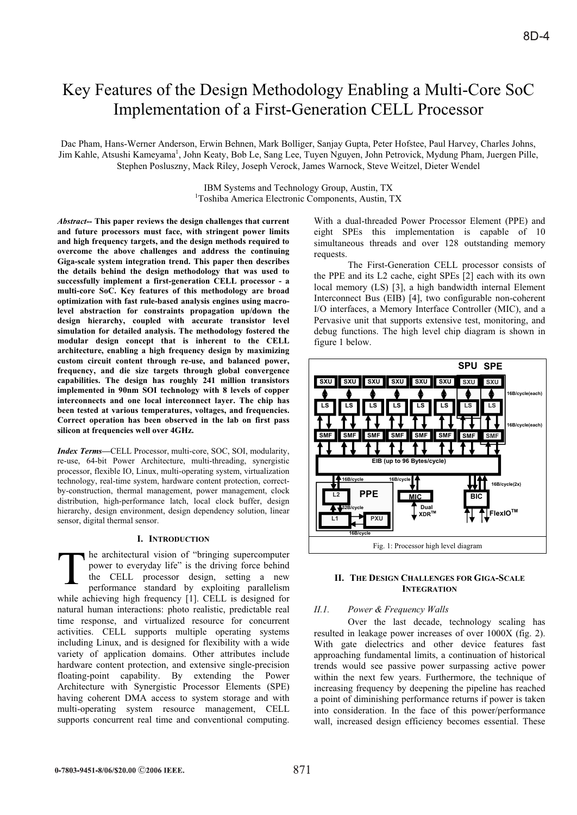# Key Features of the Design Methodology Enabling a Multi-Core SoC Implementation of a First-Generation CELL Processor

Dac Pham, Hans-Werner Anderson, Erwin Behnen, Mark Bolliger, Sanjay Gupta, Peter Hofstee, Paul Harvey, Charles Johns, Jim Kahle, Atsushi Kameyama<sup>1</sup>, John Keaty, Bob Le, Sang Lee, Tuyen Nguyen, John Petrovick, Mydung Pham, Juergen Pille, Stephen Posluszny, Mack Riley, Joseph Verock, James Warnock, Steve Weitzel, Dieter Wendel

> IBM Systems and Technology Group, Austin, TX 1 Toshiba America Electronic Components, Austin, TX

*Abstract--* **This paper reviews the design challenges that current and future processors must face, with stringent power limits and high frequency targets, and the design methods required to overcome the above challenges and address the continuing Giga-scale system integration trend. This paper then describes the details behind the design methodology that was used to successfully implement a first-generation CELL processor - a multi-core SoC. Key features of this methodology are broad optimization with fast rule-based analysis engines using macrolevel abstraction for constraints propagation up/down the design hierarchy, coupled with accurate transistor level simulation for detailed analysis. The methodology fostered the modular design concept that is inherent to the CELL architecture, enabling a high frequency design by maximizing custom circuit content through re-use, and balanced power, frequency, and die size targets through global convergence capabilities. The design has roughly 241 million transistors implemented in 90nm SOI technology with 8 levels of copper interconnects and one local interconnect layer. The chip has been tested at various temperatures, voltages, and frequencies. Correct operation has been observed in the lab on first pass silicon at frequencies well over 4GHz.**

*Index Terms***—**CELL Processor, multi-core, SOC, SOI, modularity, re-use, 64-bit Power Architecture, multi-threading, synergistic processor, flexible IO, Linux, multi-operating system, virtualization technology, real-time system, hardware content protection, correctby-construction, thermal management, power management, clock distribution, high-performance latch, local clock buffer, design hierarchy, design environment, design dependency solution, linear sensor, digital thermal sensor.

# **I. INTRODUCTION**

he architectural vision of "bringing supercomputer power to everyday life" is the driving force behind the CELL processor design, setting a new performance standard by exploiting parallelism while achieving high frequency [1]. CELL is designed for natural human interactions: photo realistic, predictable real time response, and virtualized resource for concurrent activities. CELL supports multiple operating systems including Linux, and is designed for flexibility with a wide variety of application domains. Other attributes include hardware content protection, and extensive single-precision floating-point capability. By extending the Power Architecture with Synergistic Processor Elements (SPE) having coherent DMA access to system storage and with multi-operating system resource management, CELL supports concurrent real time and conventional computing. T

With a dual-threaded Power Processor Element (PPE) and eight SPEs this implementation is capable of 10 simultaneous threads and over 128 outstanding memory requests.

The First-Generation CELL processor consists of the PPE and its L2 cache, eight SPEs [2] each with its own local memory (LS) [3], a high bandwidth internal Element Interconnect Bus (EIB) [4], two configurable non-coherent I/O interfaces, a Memory Interface Controller (MIC), and a Pervasive unit that supports extensive test, monitoring, and debug functions. The high level chip diagram is shown in figure 1 below.



## **II. THE DESIGN CHALLENGES FOR GIGA-SCALE INTEGRATION**

## *II.1. Power & Frequency Walls*

Over the last decade, technology scaling has resulted in leakage power increases of over 1000X (fig. 2). With gate dielectrics and other device features fast approaching fundamental limits, a continuation of historical trends would see passive power surpassing active power within the next few years. Furthermore, the technique of increasing frequency by deepening the pipeline has reached a point of diminishing performance returns if power is taken into consideration. In the face of this power/performance wall, increased design efficiency becomes essential. These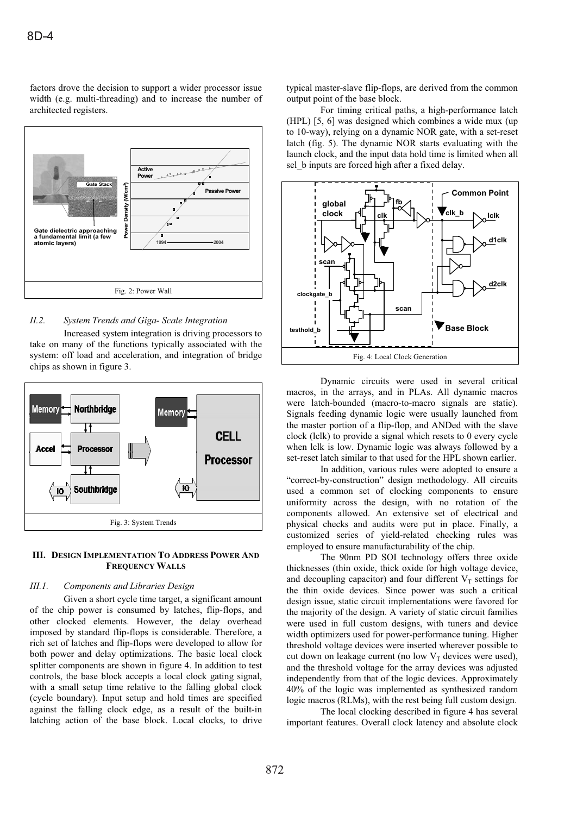factors drove the decision to support a wider processor issue width (e.g. multi-threading) and to increase the number of architected registers.



## *II.2. System Trends and Giga- Scale Integration*

Increased system integration is driving processors to take on many of the functions typically associated with the system: off load and acceleration, and integration of bridge chips as shown in figure 3.



## **III. DESIGN IMPLEMENTATION TO ADDRESS POWER AND FREQUENCY WALLS**

## *III.1. Components and Libraries Design*

Given a short cycle time target, a significant amount of the chip power is consumed by latches, flip-flops, and other clocked elements. However, the delay overhead imposed by standard flip-flops is considerable. Therefore, a rich set of latches and flip-flops were developed to allow for both power and delay optimizations. The basic local clock splitter components are shown in figure 4. In addition to test controls, the base block accepts a local clock gating signal, with a small setup time relative to the falling global clock (cycle boundary). Input setup and hold times are specified against the falling clock edge, as a result of the built-in latching action of the base block. Local clocks, to drive typical master-slave flip-flops, are derived from the common output point of the base block.

For timing critical paths, a high-performance latch (HPL) [5, 6] was designed which combines a wide mux (up to 10-way), relying on a dynamic NOR gate, with a set-reset latch (fig. 5). The dynamic NOR starts evaluating with the launch clock, and the input data hold time is limited when all sel b inputs are forced high after a fixed delay.



Dynamic circuits were used in several critical macros, in the arrays, and in PLAs. All dynamic macros were latch-bounded (macro-to-macro signals are static). Signals feeding dynamic logic were usually launched from the master portion of a flip-flop, and ANDed with the slave clock (lclk) to provide a signal which resets to 0 every cycle when lclk is low. Dynamic logic was always followed by a set-reset latch similar to that used for the HPL shown earlier.

In addition, various rules were adopted to ensure a "correct-by-construction" design methodology. All circuits used a common set of clocking components to ensure uniformity across the design, with no rotation of the components allowed. An extensive set of electrical and physical checks and audits were put in place. Finally, a customized series of yield-related checking rules was employed to ensure manufacturability of the chip.

The 90nm PD SOI technology offers three oxide thicknesses (thin oxide, thick oxide for high voltage device, and decoupling capacitor) and four different  $V_T$  settings for the thin oxide devices. Since power was such a critical design issue, static circuit implementations were favored for the majority of the design. A variety of static circuit families were used in full custom designs, with tuners and device width optimizers used for power-performance tuning. Higher threshold voltage devices were inserted wherever possible to cut down on leakage current (no low  $V_T$  devices were used), and the threshold voltage for the array devices was adjusted independently from that of the logic devices. Approximately 40% of the logic was implemented as synthesized random logic macros (RLMs), with the rest being full custom design.

The local clocking described in figure 4 has several important features. Overall clock latency and absolute clock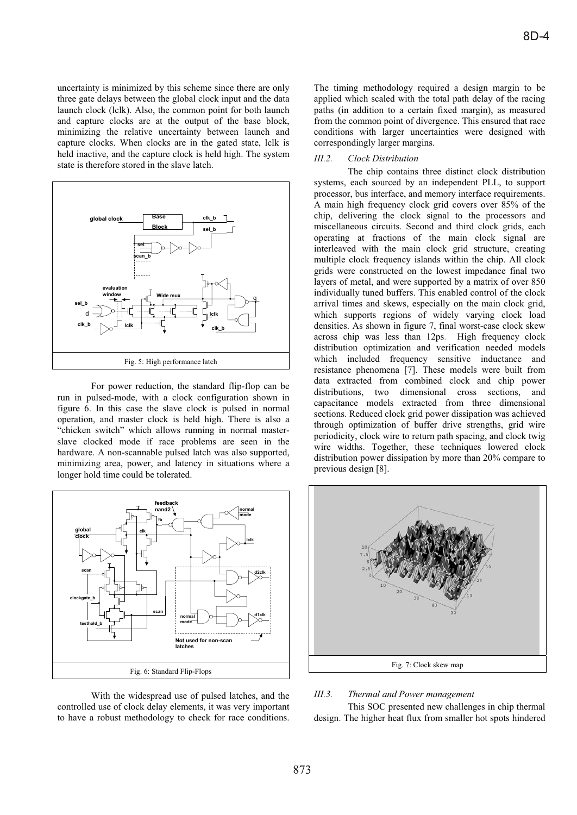uncertainty is minimized by this scheme since there are only three gate delays between the global clock input and the data launch clock (lclk). Also, the common point for both launch and capture clocks are at the output of the base block, minimizing the relative uncertainty between launch and capture clocks. When clocks are in the gated state, lclk is held inactive, and the capture clock is held high. The system state is therefore stored in the slave latch.



For power reduction, the standard flip-flop can be run in pulsed-mode, with a clock configuration shown in figure 6. In this case the slave clock is pulsed in normal operation, and master clock is held high. There is also a "chicken switch" which allows running in normal masterslave clocked mode if race problems are seen in the hardware. A non-scannable pulsed latch was also supported, minimizing area, power, and latency in situations where a longer hold time could be tolerated.



With the widespread use of pulsed latches, and the controlled use of clock delay elements, it was very important to have a robust methodology to check for race conditions. The timing methodology required a design margin to be applied which scaled with the total path delay of the racing paths (in addition to a certain fixed margin), as measured from the common point of divergence. This ensured that race conditions with larger uncertainties were designed with correspondingly larger margins.

# *III.2. Clock Distribution*

The chip contains three distinct clock distribution systems, each sourced by an independent PLL, to support processor, bus interface, and memory interface requirements. A main high frequency clock grid covers over 85% of the chip, delivering the clock signal to the processors and miscellaneous circuits. Second and third clock grids, each operating at fractions of the main clock signal are interleaved with the main clock grid structure, creating multiple clock frequency islands within the chip. All clock grids were constructed on the lowest impedance final two layers of metal, and were supported by a matrix of over 850 individually tuned buffers. This enabled control of the clock arrival times and skews, especially on the main clock grid, which supports regions of widely varying clock load densities. As shown in figure 7, final worst-case clock skew across chip was less than 12ps. High frequency clock distribution optimization and verification needed models which included frequency sensitive inductance and resistance phenomena [7]. These models were built from data extracted from combined clock and chip power distributions, two dimensional cross sections, and capacitance models extracted from three dimensional sections. Reduced clock grid power dissipation was achieved through optimization of buffer drive strengths, grid wire periodicity, clock wire to return path spacing, and clock twig wire widths. Together, these techniques lowered clock distribution power dissipation by more than 20% compare to previous design [8].



# *III.3. Thermal and Power management*

This SOC presented new challenges in chip thermal design. The higher heat flux from smaller hot spots hindered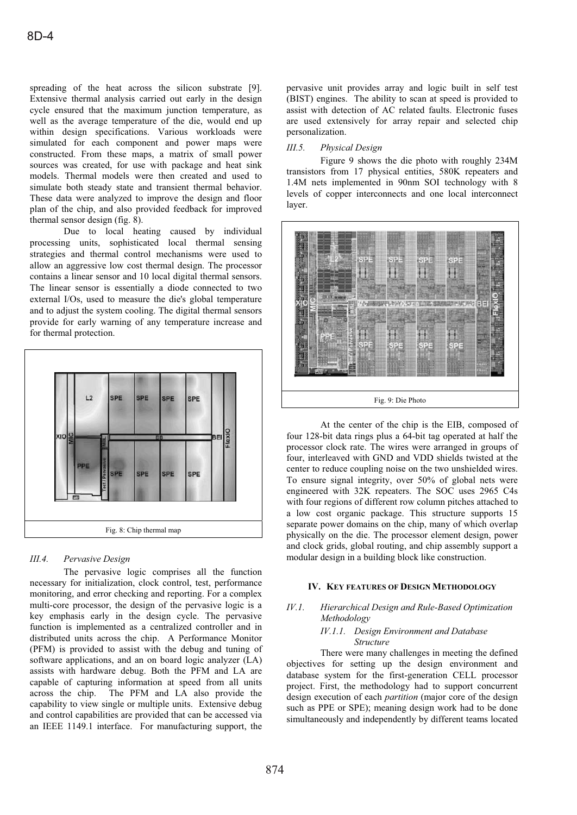spreading of the heat across the silicon substrate [9]. Extensive thermal analysis carried out early in the design cycle ensured that the maximum junction temperature, as well as the average temperature of the die, would end up within design specifications. Various workloads were simulated for each component and power maps were constructed. From these maps, a matrix of small power sources was created, for use with package and heat sink models. Thermal models were then created and used to simulate both steady state and transient thermal behavior. These data were analyzed to improve the design and floor plan of the chip, and also provided feedback for improved thermal sensor design (fig. 8).

Due to local heating caused by individual processing units, sophisticated local thermal sensing strategies and thermal control mechanisms were used to allow an aggressive low cost thermal design. The processor contains a linear sensor and 10 local digital thermal sensors. The linear sensor is essentially a diode connected to two external I/Os, used to measure the die's global temperature and to adjust the system cooling. The digital thermal sensors provide for early warning of any temperature increase and for thermal protection.



# *III.4. Pervasive Design*

The pervasive logic comprises all the function necessary for initialization, clock control, test, performance monitoring, and error checking and reporting. For a complex multi-core processor, the design of the pervasive logic is a key emphasis early in the design cycle. The pervasive function is implemented as a centralized controller and in distributed units across the chip. A Performance Monitor (PFM) is provided to assist with the debug and tuning of software applications, and an on board logic analyzer (LA) assists with hardware debug. Both the PFM and LA are capable of capturing information at speed from all units across the chip. The PFM and LA also provide the capability to view single or multiple units. Extensive debug and control capabilities are provided that can be accessed via an IEEE 1149.1 interface. For manufacturing support, the pervasive unit provides array and logic built in self test (BIST) engines. The ability to scan at speed is provided to assist with detection of AC related faults. Electronic fuses are used extensively for array repair and selected chip personalization.

## *III.5. Physical Design*

Figure 9 shows the die photo with roughly 234M transistors from 17 physical entities, 580K repeaters and 1.4M nets implemented in 90nm SOI technology with 8 levels of copper interconnects and one local interconnect layer.



At the center of the chip is the EIB, composed of four 128-bit data rings plus a 64-bit tag operated at half the processor clock rate. The wires were arranged in groups of four, interleaved with GND and VDD shields twisted at the center to reduce coupling noise on the two unshielded wires. To ensure signal integrity, over 50% of global nets were engineered with 32K repeaters. The SOC uses 2965 C4s with four regions of different row column pitches attached to a low cost organic package. This structure supports 15 separate power domains on the chip, many of which overlap physically on the die. The processor element design, power and clock grids, global routing, and chip assembly support a modular design in a building block like construction.

#### **IV. KEY FEATURES OF DESIGN METHODOLOGY**

# *IV.1. Hierarchical Design and Rule-Based Optimization Methodology*

#### *IV.1.1. Design Environment and Database Structure*

There were many challenges in meeting the defined objectives for setting up the design environment and database system for the first-generation CELL processor project. First, the methodology had to support concurrent design execution of each *partition* (major core of the design such as PPE or SPE); meaning design work had to be done simultaneously and independently by different teams located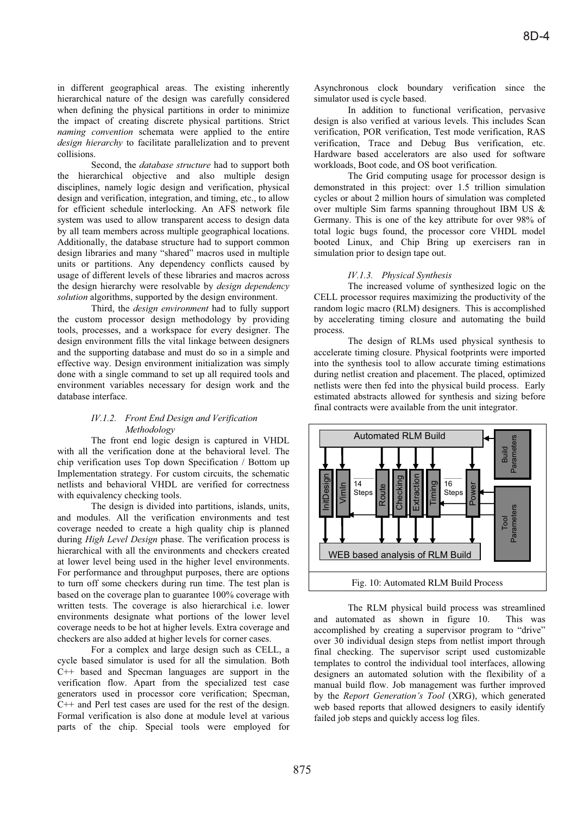in different geographical areas. The existing inherently hierarchical nature of the design was carefully considered when defining the physical partitions in order to minimize the impact of creating discrete physical partitions. Strict *naming convention* schemata were applied to the entire *design hierarchy* to facilitate parallelization and to prevent collisions.

Second, the *database structure* had to support both the hierarchical objective and also multiple design disciplines, namely logic design and verification, physical design and verification, integration, and timing, etc., to allow for efficient schedule interlocking. An AFS network file system was used to allow transparent access to design data by all team members across multiple geographical locations. Additionally, the database structure had to support common design libraries and many "shared" macros used in multiple units or partitions. Any dependency conflicts caused by usage of different levels of these libraries and macros across the design hierarchy were resolvable by *design dependency solution* algorithms, supported by the design environment.

Third, the *design environment* had to fully support the custom processor design methodology by providing tools, processes, and a workspace for every designer. The design environment fills the vital linkage between designers and the supporting database and must do so in a simple and effective way. Design environment initialization was simply done with a single command to set up all required tools and environment variables necessary for design work and the database interface.

## *IV.1.2. Front End Design and Verification Methodology*

The front end logic design is captured in VHDL with all the verification done at the behavioral level. The chip verification uses Top down Specification / Bottom up Implementation strategy. For custom circuits, the schematic netlists and behavioral VHDL are verified for correctness with equivalency checking tools.

The design is divided into partitions, islands, units, and modules. All the verification environments and test coverage needed to create a high quality chip is planned during *High Level Design* phase. The verification process is hierarchical with all the environments and checkers created at lower level being used in the higher level environments. For performance and throughput purposes, there are options to turn off some checkers during run time. The test plan is based on the coverage plan to guarantee 100% coverage with written tests. The coverage is also hierarchical i.e. lower environments designate what portions of the lower level coverage needs to be hot at higher levels. Extra coverage and checkers are also added at higher levels for corner cases.

For a complex and large design such as CELL, a cycle based simulator is used for all the simulation. Both C++ based and Specman languages are support in the verification flow. Apart from the specialized test case generators used in processor core verification; Specman, C++ and Perl test cases are used for the rest of the design. Formal verification is also done at module level at various parts of the chip. Special tools were employed for

Asynchronous clock boundary verification since the simulator used is cycle based.

In addition to functional verification, pervasive design is also verified at various levels. This includes Scan verification, POR verification, Test mode verification, RAS verification, Trace and Debug Bus verification, etc. Hardware based accelerators are also used for software workloads, Boot code, and OS boot verification.

The Grid computing usage for processor design is demonstrated in this project: over 1.5 trillion simulation cycles or about 2 million hours of simulation was completed over multiple Sim farms spanning throughout IBM US & Germany. This is one of the key attribute for over 98% of total logic bugs found, the processor core VHDL model booted Linux, and Chip Bring up exercisers ran in simulation prior to design tape out.

## *IV.1.3. Physical Synthesis*

The increased volume of synthesized logic on the CELL processor requires maximizing the productivity of the random logic macro (RLM) designers. This is accomplished by accelerating timing closure and automating the build process.

The design of RLMs used physical synthesis to accelerate timing closure. Physical footprints were imported into the synthesis tool to allow accurate timing estimations during netlist creation and placement. The placed, optimized netlists were then fed into the physical build process. Early estimated abstracts allowed for synthesis and sizing before final contracts were available from the unit integrator.



The RLM physical build process was streamlined and automated as shown in figure 10. This was accomplished by creating a supervisor program to "drive" over 30 individual design steps from netlist import through final checking. The supervisor script used customizable templates to control the individual tool interfaces, allowing designers an automated solution with the flexibility of a manual build flow. Job management was further improved by the *Report Generation's Tool* (XRG), which generated web based reports that allowed designers to easily identify failed job steps and quickly access log files.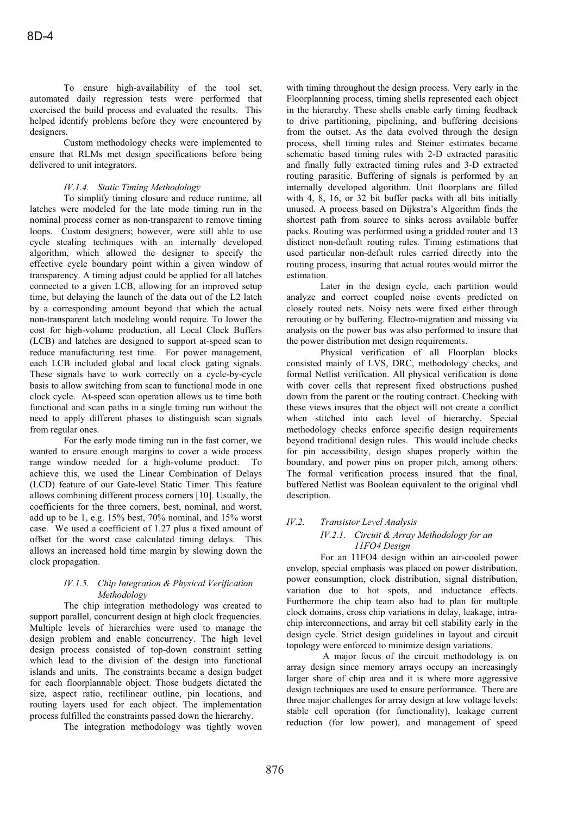To ensure high-availability of the tool set, automated daily regression tests were performed that exercised the build process and evaluated the results. This helped identify problems before they were encountered by designers.

Custom methodology checks were implemented to ensure that RLMs met design specifications before being delivered to unit integrators.

## *IV.1.4. Static Timing Methodology*

To simplify timing closure and reduce runtime, all latches were modeled for the late mode timing run in the nominal process corner as non-transparent to remove timing loops. Custom designers; however, were still able to use cycle stealing techniques with an internally developed algorithm, which allowed the designer to specify the effective cycle boundary point within a given window of transparency. A timing adjust could be applied for all latches connected to a given LCB, allowing for an improved setup time, but delaying the launch of the data out of the L2 latch by a corresponding amount beyond that which the actual non-transparent latch modeling would require. To lower the cost for high-volume production, all Local Clock Buffers (LCB) and latches are designed to support at-speed scan to reduce manufacturing test time. For power management, each LCB included global and local clock gating signals. These signals have to work correctly on a cycle-by-cycle basis to allow switching from scan to functional mode in one clock cycle. At-speed scan operation allows us to time both functional and scan paths in a single timing run without the need to apply different phases to distinguish scan signals from regular ones.

For the early mode timing run in the fast corner, we wanted to ensure enough margins to cover a wide process range window needed for a high-volume product. To achieve this, we used the Linear Combination of Delays (LCD) feature of our Gate-level Static Timer. This feature allows combining different process corners [10]. Usually, the coefficients for the three corners, best, nominal, and worst, add up to be 1, e.g. 15% best, 70% nominal, and 15% worst case. We used a coefficient of 1.27 plus a fixed amount of offset for the worst case calculated timing delays. This allows an increased hold time margin by slowing down the clock propagation.

## *IV.1.5. Chip Integration & Physical Verification Methodology*

The chip integration methodology was created to support parallel, concurrent design at high clock frequencies. Multiple levels of hierarchies were used to manage the design problem and enable concurrency. The high level design process consisted of top-down constraint setting which lead to the division of the design into functional islands and units. The constraints became a design budget for each floorplannable object. Those budgets dictated the size, aspect ratio, rectilinear outline, pin locations, and routing layers used for each object. The implementation process fulfilled the constraints passed down the hierarchy.

The integration methodology was tightly woven

with timing throughout the design process. Very early in the Floorplanning process, timing shells represented each object in the hierarchy. These shells enable early timing feedback to drive partitioning, pipelining, and buffering decisions from the outset. As the data evolved through the design process, shell timing rules and Steiner estimates became schematic based timing rules with 2-D extracted parasitic and finally fully extracted timing rules and 3-D extracted routing parasitic. Buffering of signals is performed by an internally developed algorithm. Unit floorplans are filled with 4, 8, 16, or 32 bit buffer packs with all bits initially unused. A process based on Dijkstra's Algorithm finds the shortest path from source to sinks across available buffer packs. Routing was performed using a gridded router and 13 distinct non-default routing rules. Timing estimations that used particular non-default rules carried directly into the routing process, insuring that actual routes would mirror the estimation.

Later in the design cycle, each partition would analyze and correct coupled noise events predicted on closely routed nets. Noisy nets were fixed either through rerouting or by buffering. Electro-migration and missing via analysis on the power bus was also performed to insure that the power distribution met design requirements.

Physical verification of all Floorplan blocks consisted mainly of LVS, DRC, methodology checks, and formal Netlist verification. All physical verification is done with cover cells that represent fixed obstructions pushed down from the parent or the routing contract. Checking with these views insures that the object will not create a conflict when stitched into each level of hierarchy. Special methodology checks enforce specific design requirements beyond traditional design rules. This would include checks for pin accessibility, design shapes properly within the boundary, and power pins on proper pitch, among others. The formal verification process insured that the final, buffered Netlist was Boolean equivalent to the original vhdl description.

# *IV.2. Transistor Level Analysis*

# *IV.2.1. Circuit & Array Methodology for an 11FO4 Design*

For an 11FO4 design within an air-cooled power envelop, special emphasis was placed on power distribution, power consumption, clock distribution, signal distribution, variation due to hot spots, and inductance effects. Furthermore the chip team also had to plan for multiple clock domains, cross chip variations in delay, leakage, intrachip interconnections, and array bit cell stability early in the design cycle. Strict design guidelines in layout and circuit topology were enforced to minimize design variations.

 A major focus of the circuit methodology is on array design since memory arrays occupy an increasingly larger share of chip area and it is where more aggressive design techniques are used to ensure performance. There are three major challenges for array design at low voltage levels: stable cell operation (for functionality), leakage current reduction (for low power), and management of speed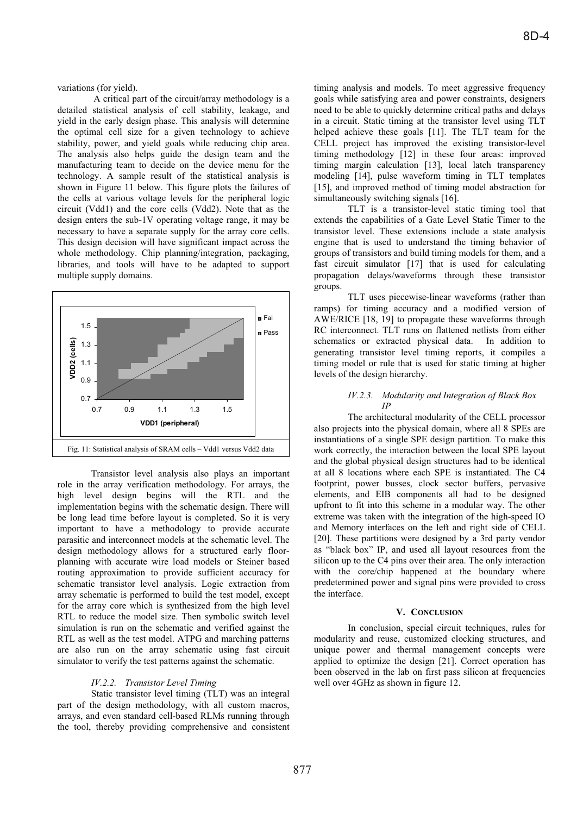variations (for yield).

A critical part of the circuit/array methodology is a detailed statistical analysis of cell stability, leakage, and yield in the early design phase. This analysis will determine the optimal cell size for a given technology to achieve stability, power, and yield goals while reducing chip area. The analysis also helps guide the design team and the manufacturing team to decide on the device menu for the technology. A sample result of the statistical analysis is shown in Figure 11 below. This figure plots the failures of the cells at various voltage levels for the peripheral logic circuit (Vdd1) and the core cells (Vdd2). Note that as the design enters the sub-1V operating voltage range, it may be necessary to have a separate supply for the array core cells. This design decision will have significant impact across the whole methodology. Chip planning/integration, packaging, libraries, and tools will have to be adapted to support multiple supply domains.



Transistor level analysis also plays an important role in the array verification methodology. For arrays, the high level design begins will the RTL and the implementation begins with the schematic design. There will be long lead time before layout is completed. So it is very important to have a methodology to provide accurate parasitic and interconnect models at the schematic level. The design methodology allows for a structured early floorplanning with accurate wire load models or Steiner based routing approximation to provide sufficient accuracy for schematic transistor level analysis. Logic extraction from array schematic is performed to build the test model, except for the array core which is synthesized from the high level RTL to reduce the model size. Then symbolic switch level simulation is run on the schematic and verified against the RTL as well as the test model. ATPG and marching patterns are also run on the array schematic using fast circuit simulator to verify the test patterns against the schematic.

#### *IV.2.2. Transistor Level Timing*

Static transistor level timing (TLT) was an integral part of the design methodology, with all custom macros, arrays, and even standard cell-based RLMs running through the tool, thereby providing comprehensive and consistent timing analysis and models. To meet aggressive frequency goals while satisfying area and power constraints, designers need to be able to quickly determine critical paths and delays in a circuit. Static timing at the transistor level using TLT helped achieve these goals [11]. The TLT team for the CELL project has improved the existing transistor-level timing methodology [12] in these four areas: improved timing margin calculation [13], local latch transparency modeling [14], pulse waveform timing in TLT templates [15], and improved method of timing model abstraction for simultaneously switching signals [16].

TLT is a transistor-level static timing tool that extends the capabilities of a Gate Level Static Timer to the transistor level. These extensions include a state analysis engine that is used to understand the timing behavior of groups of transistors and build timing models for them, and a fast circuit simulator [17] that is used for calculating propagation delays/waveforms through these transistor groups.

TLT uses piecewise-linear waveforms (rather than ramps) for timing accuracy and a modified version of AWE/RICE [18, 19] to propagate these waveforms through RC interconnect. TLT runs on flattened netlists from either schematics or extracted physical data. In addition to generating transistor level timing reports, it compiles a timing model or rule that is used for static timing at higher levels of the design hierarchy.

## *IV.2.3. Modularity and Integration of Black Box IP*

The architectural modularity of the CELL processor also proj ects into the physical domain, where all 8 SPEs are instantiations of a single SPE design partition. To make this work correctly, the interaction between the local SPE layout and the global physical design structures had to be identical at all 8 locations where each SPE is instantiated. The C4 footprint, power busses, clock sector buffers, pervasive elements, and EIB components all had to be designed upfront to fit into this scheme in a modular way. The other extreme was taken with the integration of the high-speed IO and Memory interfaces on the left and right side of CELL [20]. These partitions were designed by a 3rd party vendor as "black box" IP, and used all layout resources from the silicon up to the C4 pins over their area. The only interaction with the core/chip happened at the boundary where predetermined power and signal pins were provided to cross the interface.

## **V. CONCLUSION**

In conclusion, special circuit techniques, rules for modulari ty and reuse, customized clocking structures, and unique power and thermal management concepts were applied to optimize the design [21]. Correct operation has been observed in the lab on first pass silicon at frequencies well over 4GHz as shown in figure 12.